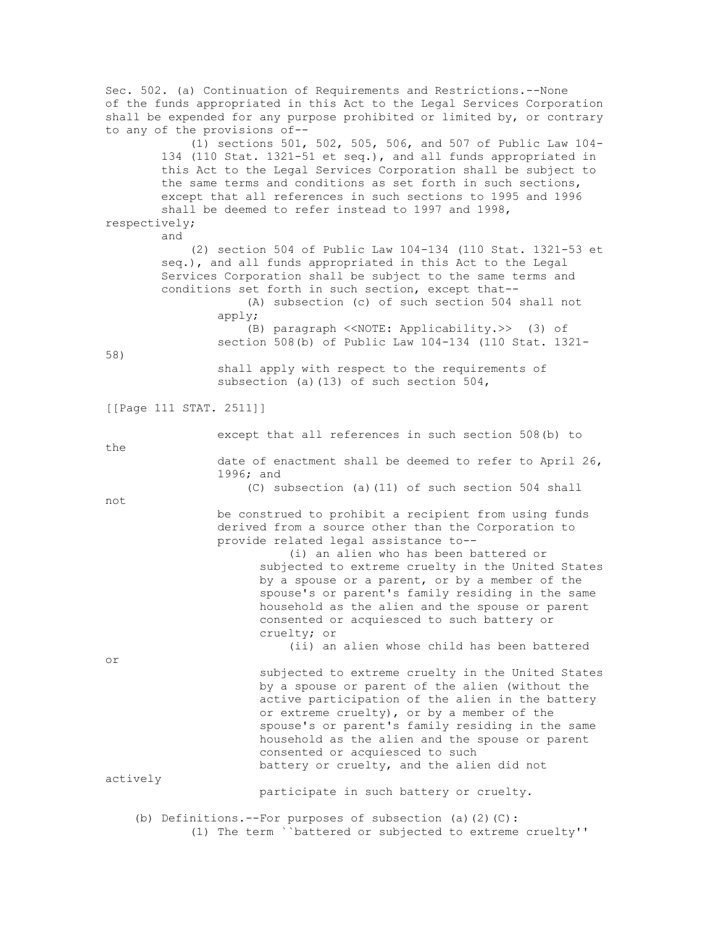Sec. 502. (a) Continuation of Requirements and Restrictions.--None of the funds appropriated in this Act to the Legal Services Corporation shall be expended for any purpose prohibited or limited by, or contrary to any of the provisions of-- (1) sections 501, 502, 505, 506, and 507 of Public Law 104- 134 (110 Stat. 1321-51 et seq.), and all funds appropriated in this Act to the Legal Services Corporation shall be subject to the same terms and conditions as set forth in such sections, except that all references in such sections to 1995 and 1996 shall be deemed to refer instead to 1997 and 1998, respectively; and (2) section 504 of Public Law 104-134 (110 Stat. 1321-53 et seq.), and all funds appropriated in this Act to the Legal Services Corporation shall be subject to the same terms and conditions set forth in such section, except that-- (A) subsection (c) of such section 504 shall not apply; (B) paragraph <<NOTE: Applicability.>> (3) of section 508(b) of Public Law 104-134 (110 Stat. 1321- 58) shall apply with respect to the requirements of subsection (a)(13) of such section 504, [[Page 111 STAT. 2511]] except that all references in such section 508(b) to the date of enactment shall be deemed to refer to April 26, 1996; and (C) subsection (a)(11) of such section 504 shall not be construed to prohibit a recipient from using funds derived from a source other than the Corporation to provide related legal assistance to-- (i) an alien who has been battered or subjected to extreme cruelty in the United States by a spouse or a parent, or by a member of the spouse's or parent's family residing in the same household as the alien and the spouse or parent consented or acquiesced to such battery or cruelty; or (ii) an alien whose child has been battered or subjected to extreme cruelty in the United States by a spouse or parent of the alien (without the active participation of the alien in the battery or extreme cruelty), or by a member of the spouse's or parent's family residing in the same household as the alien and the spouse or parent consented or acquiesced to such battery or cruelty, and the alien did not actively participate in such battery or cruelty. (b) Definitions.--For purposes of subsection (a)(2)(C): (1) The term ``battered or subjected to extreme cruelty''